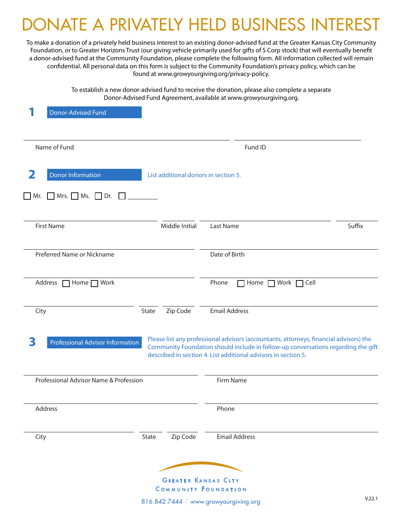# **NATE A PRIVATELY HELD BUSINESS INTEREST**

To make a donation of a privately held business interest to an existing donor-advised fund at the Greater Kansas City Community Foundation, or to Greater Horizons Trust (our giving vehicle primarily used for gifts of S Corp stock) that will eventually benefit a donor-advised fund at the Community Foundation, please complete the following form. All information collected will remain confidential. All personal data on this form is subject to the Community Foundation's privacy policy, which can be found at www.growyourgiving.org/privacy-policy.

> To establish a new donor-advised fund to receive the donation, please also complete a separate Donor-Advised Fund Agreement, available at www.growyourgiving.org.

| <b>Donor-Advised Fund</b>                                                                      |                                                                                                                                                                                                                                               |
|------------------------------------------------------------------------------------------------|-----------------------------------------------------------------------------------------------------------------------------------------------------------------------------------------------------------------------------------------------|
| Name of Fund                                                                                   | Fund ID                                                                                                                                                                                                                                       |
| 2<br><b>Donor Information</b><br>List additional donors in section 5.<br>$Mrs.$ Ms. Dr.<br>Mr. |                                                                                                                                                                                                                                               |
| Middle Initial<br><b>First Name</b>                                                            | Suffix<br>Last Name                                                                                                                                                                                                                           |
| Preferred Name or Nickname                                                                     | Date of Birth                                                                                                                                                                                                                                 |
| Address   Home   Work                                                                          | Phone<br>$\Box$ Home $\Box$ Work $\Box$ Cell                                                                                                                                                                                                  |
| State<br>Zip Code<br>City                                                                      | <b>Email Address</b>                                                                                                                                                                                                                          |
| 3<br><b>Professional Advisor Information</b>                                                   | Please list any professional advisors (accountants, attorneys, financial advisors) the<br>Community Foundation should include in follow-up conversations regarding the gift<br>described in section 4. List additional advisors in section 5. |
| Professional Advisor Name & Profession                                                         | Firm Name                                                                                                                                                                                                                                     |
| Address                                                                                        | Phone                                                                                                                                                                                                                                         |
| Zip Code<br>City<br>State                                                                      | <b>Email Address</b>                                                                                                                                                                                                                          |
| <b>GREATER KANSAS CITY</b><br><b>COMMUNITY FOUNDATION</b>                                      |                                                                                                                                                                                                                                               |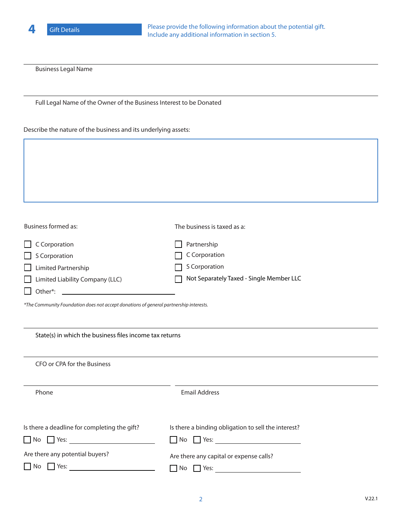

Business Legal Name

Full Legal Name of the Owner of the Business Interest to be Donated

Describe the nature of the business and its underlying assets:

| Business formed as:                       | The business is taxed as a:              |
|-------------------------------------------|------------------------------------------|
| C Corporation<br>$\mathbf{1}$             | Partnership                              |
| S Corporation<br>$\perp$                  | C Corporation                            |
| Limited Partnership<br>$\Box$             | S Corporation                            |
| Limited Liability Company (LLC)<br>$\Box$ | Not Separately Taxed - Single Member LLC |
| Other*:                                   |                                          |

*\*The Community Foundation does not accept donations of general partnership interests.*

| State(s) in which the business files income tax returns               |                                                                              |  |
|-----------------------------------------------------------------------|------------------------------------------------------------------------------|--|
| CFO or CPA for the Business                                           |                                                                              |  |
| Phone                                                                 | <b>Email Address</b>                                                         |  |
| Is there a deadline for completing the gift?<br>$\Gamma$ Yes:<br>l No | Is there a binding obligation to sell the interest?<br>$\Box$ No $\Box$ Yes: |  |
| Are there any potential buyers?<br>Yes:                               | Are there any capital or expense calls?<br>Yes:<br>No.                       |  |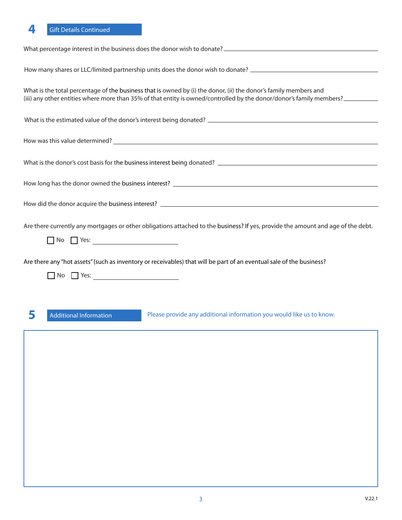| How many shares or LLC/limited partnership units does the donor wish to donate? ______________________________                                                                                                                           |
|------------------------------------------------------------------------------------------------------------------------------------------------------------------------------------------------------------------------------------------|
| What is the total percentage of the business that is owned by (i) the donor, (ii) the donor's family members and<br>(iii) any other entities where more than 35% of that entity is owned/controlled by the donor/donor's family members? |
|                                                                                                                                                                                                                                          |
|                                                                                                                                                                                                                                          |
|                                                                                                                                                                                                                                          |
|                                                                                                                                                                                                                                          |
|                                                                                                                                                                                                                                          |
| Are there currently any mortgages or other obligations attached to the business? If yes, provide the amount and age of the debt.                                                                                                         |
| Are there any "hot assets" (such as inventory or receivables) that will be part of an eventual sale of the business?                                                                                                                     |
|                                                                                                                                                                                                                                          |
| 5<br>Please provide any additional information you would like us to know.<br><b>Additional Information</b>                                                                                                                               |
|                                                                                                                                                                                                                                          |
|                                                                                                                                                                                                                                          |
|                                                                                                                                                                                                                                          |
|                                                                                                                                                                                                                                          |
|                                                                                                                                                                                                                                          |
|                                                                                                                                                                                                                                          |
|                                                                                                                                                                                                                                          |